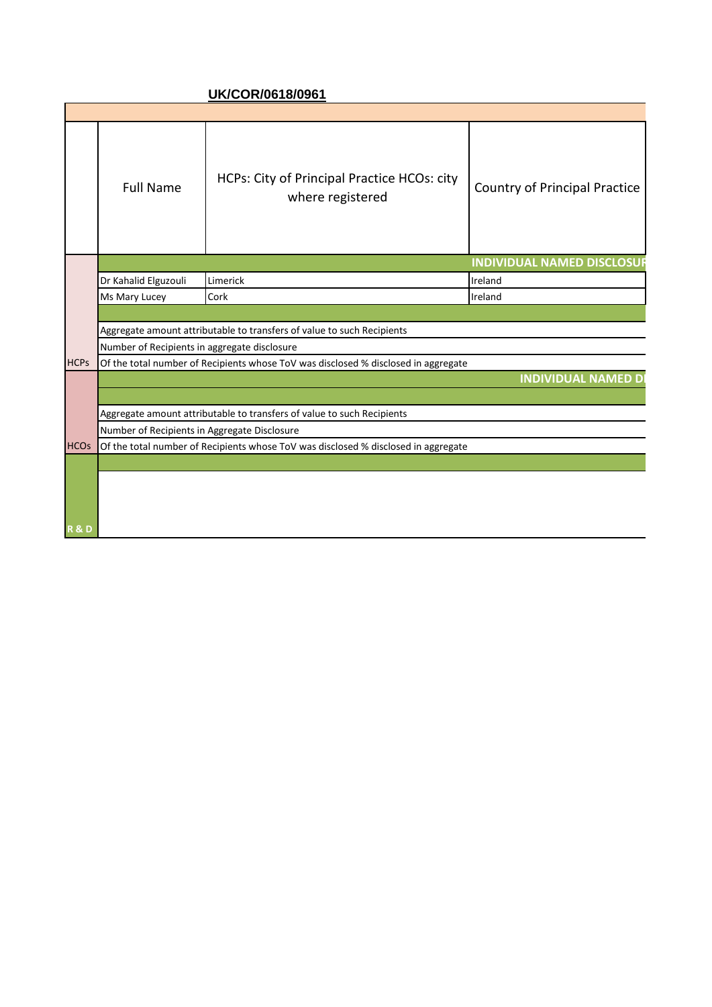## **UK/COR/0618/0961**

|                | Full Name                                                                               | HCPs: City of Principal Practice HCOs: city<br>where registered                         | Country of Principal Practice     |  |  |
|----------------|-----------------------------------------------------------------------------------------|-----------------------------------------------------------------------------------------|-----------------------------------|--|--|
|                |                                                                                         |                                                                                         | <b>INDIVIDUAL NAMED DISCLOSUE</b> |  |  |
|                | Dr Kahalid Elguzouli                                                                    | Limerick                                                                                | Ireland                           |  |  |
|                | Ms Mary Lucey                                                                           | Cork                                                                                    | Ireland                           |  |  |
|                |                                                                                         |                                                                                         |                                   |  |  |
|                |                                                                                         | Aggregate amount attributable to transfers of value to such Recipients                  |                                   |  |  |
|                | Number of Recipients in aggregate disclosure                                            |                                                                                         |                                   |  |  |
|                |                                                                                         | HCPs of the total number of Recipients whose ToV was disclosed % disclosed in aggregate |                                   |  |  |
|                |                                                                                         |                                                                                         | <b>INDIVIDUAL NAMED D</b>         |  |  |
|                |                                                                                         |                                                                                         |                                   |  |  |
|                | Aggregate amount attributable to transfers of value to such Recipients                  |                                                                                         |                                   |  |  |
|                | Number of Recipients in Aggregate Disclosure                                            |                                                                                         |                                   |  |  |
|                | HCOs of the total number of Recipients whose ToV was disclosed % disclosed in aggregate |                                                                                         |                                   |  |  |
|                |                                                                                         |                                                                                         |                                   |  |  |
|                |                                                                                         |                                                                                         |                                   |  |  |
|                |                                                                                         |                                                                                         |                                   |  |  |
|                |                                                                                         |                                                                                         |                                   |  |  |
| <b>R&amp;D</b> |                                                                                         |                                                                                         |                                   |  |  |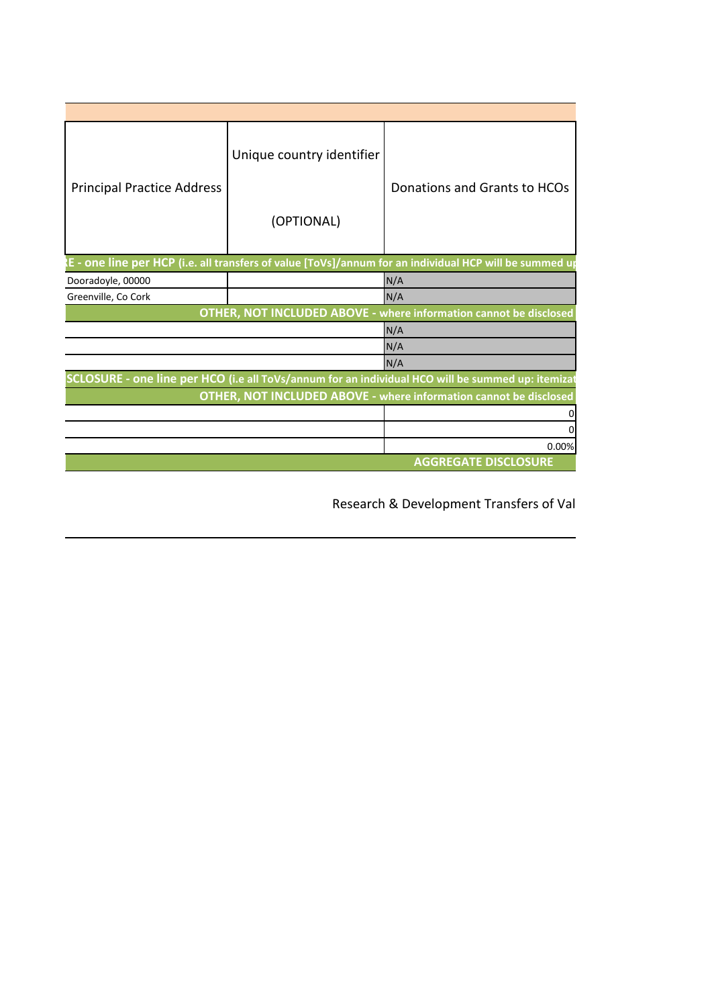|                                   | Unique country identifier |                                                                                                        |  |  |
|-----------------------------------|---------------------------|--------------------------------------------------------------------------------------------------------|--|--|
| <b>Principal Practice Address</b> |                           | Donations and Grants to HCOs                                                                           |  |  |
|                                   | (OPTIONAL)                |                                                                                                        |  |  |
|                                   |                           | E - one line per HCP (i.e. all transfers of value [ToVs]/annum for an individual HCP will be summed up |  |  |
| Dooradoyle, 00000                 |                           | N/A                                                                                                    |  |  |
| Greenville, Co Cork               |                           | N/A                                                                                                    |  |  |
|                                   |                           | OTHER, NOT INCLUDED ABOVE - where information cannot be disclosed                                      |  |  |
|                                   |                           | N/A                                                                                                    |  |  |
|                                   |                           | N/A                                                                                                    |  |  |
|                                   |                           | N/A                                                                                                    |  |  |
|                                   |                           | SCLOSURE - one line per HCO (i.e all ToVs/annum for an individual HCO will be summed up: itemizat      |  |  |
|                                   |                           | OTHER, NOT INCLUDED ABOVE - where information cannot be disclosed                                      |  |  |
|                                   |                           |                                                                                                        |  |  |
|                                   |                           |                                                                                                        |  |  |
|                                   |                           | 0.00%                                                                                                  |  |  |
|                                   |                           | <b>AGGREGATE DISCLOSURE</b>                                                                            |  |  |

Research & Development Transfers of Val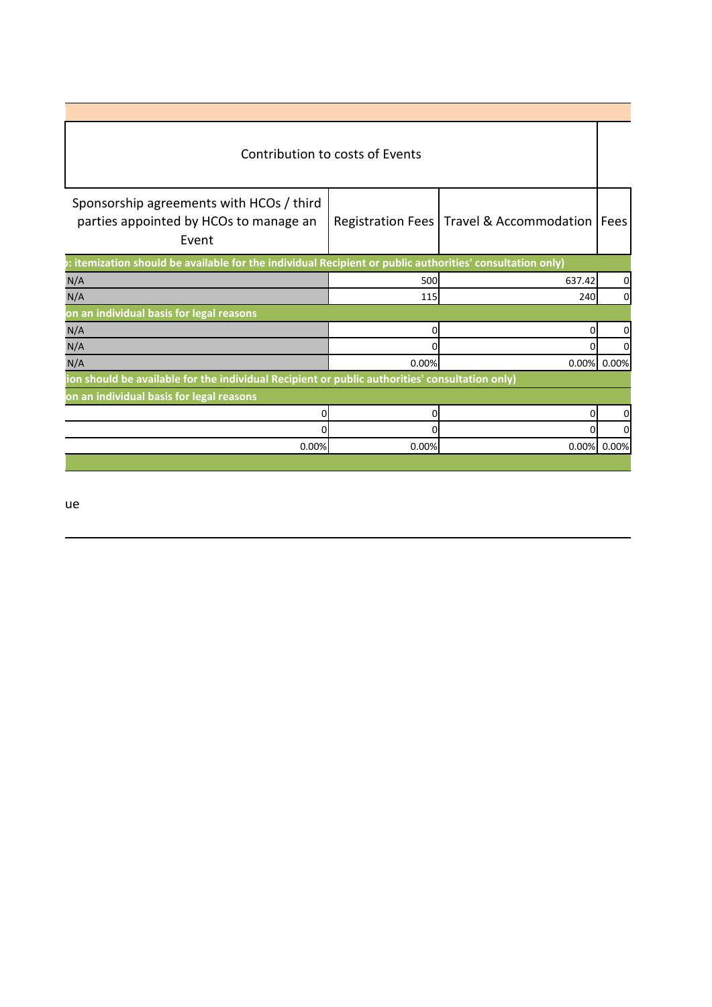|                                                                                                                                                     | Contribution to costs of Events |        |             |  |
|-----------------------------------------------------------------------------------------------------------------------------------------------------|---------------------------------|--------|-------------|--|
| Sponsorship agreements with HCOs / third  <br>parties appointed by HCOs to manage an   Registration Fees   Travel & Accommodation   Fees  <br>Event |                                 |        |             |  |
| : itemization should be available for the individual Recipient or public authorities' consultation only)                                            |                                 |        |             |  |
|                                                                                                                                                     | 500                             | 637.42 |             |  |
|                                                                                                                                                     | 115                             | 240    |             |  |
| on an individual basis for legal reasons                                                                                                            |                                 |        |             |  |
|                                                                                                                                                     |                                 |        |             |  |
|                                                                                                                                                     |                                 |        |             |  |
|                                                                                                                                                     | 0.00%                           |        | 0.00% 0.00% |  |
| ion should be available for the individual Recipient or public authorities' consultation only)                                                      |                                 |        |             |  |
| on an individual basis for legal reasons                                                                                                            |                                 |        |             |  |
|                                                                                                                                                     |                                 |        |             |  |
|                                                                                                                                                     |                                 |        |             |  |
| 0.00%                                                                                                                                               | 0.00%                           |        | 0.00% 0.00% |  |

Research & Development Transfers of Value